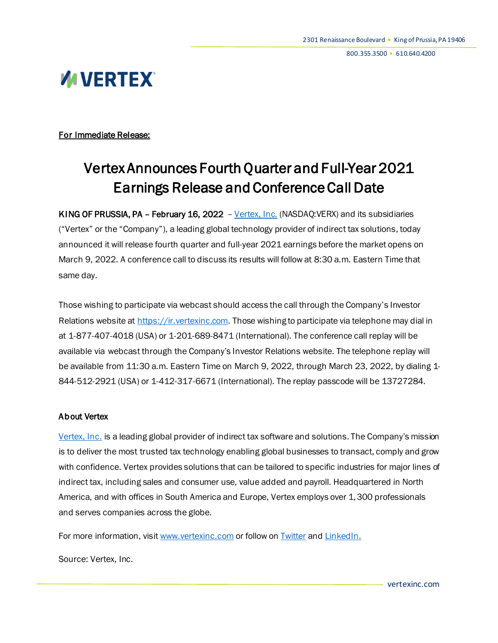# **WIVERTEX®**

For Immediate Release:

## Vertex Announces Fourth Quarter and Full-Year 2021 Earnings Release and Conference Call Date

KING OF PRUSSIA, PA - February 16, 2022 - [Vertex,](https://www.vertexinc.com/company/about-us?utm_source=press-release&utm_medium=web-wire&utm_campaign=2020PressReleases) Inc. (NASDAQ:VERX) and its subsidiaries ("Vertex" or the "Company"), a leading global technology provider of indirect tax solutions, today announced it will release fourth quarter and full-year 2021 earnings before the market opens on March 9, 2022. A conference call to discuss its results will follow at 8:30 a.m. Eastern Time that same day.

Those wishing to participate via webcast should access the call through the Company's Investor Relations website a[t https://ir.vertexinc.com](https://ir.vertexinc.com/). Those wishing to participate via telephone may dial in at 1-877-407-4018 (USA) or 1-201-689-8471 (International). The conference call replay will be available via webcast through the Company's Investor Relations website. The telephone replay will be available from 11:30 a.m. Eastern Time on March 9, 2022, through March 23, 2022, by dialing 1-844-512-2921 (USA) or 1-412-317-6671 (International). The replay passcode will be 13727284.

#### About Vertex

[Vertex, Inc.](https://www.vertexinc.com/?utm_source=press-release&utm_medium=web-wire&utm_campaign=2020PressReleases) is a leading global provider of indirect tax software and solutions. The Company's mission is to deliver the most trusted tax technology enabling global businesses to transact, comply and grow with confidence. Vertex provides solutions that can be tailored to specific industries for major lines of indirect tax, including sales and consumer use, value added and payroll. Headquartered in North America, and with offices in South America and Europe, Vertex employs over 1,300 professionals and serves companies across the globe.

For more information, visi[t www.vertexinc.com](http://www.vertexinc.com/) or follow o[n Twitter](https://twitter.com/vertexinc/?utm_source=press-release&utm_medium=web-wire&utm_campaign=2020PressReleases) and [LinkedIn](https://www.linkedin.com/company/vertex-inc./?viewAsMember=true/?utm_source=press-release&utm_medium=web-wire&utm_campaign=2020PressReleases).

Source: Vertex, Inc.